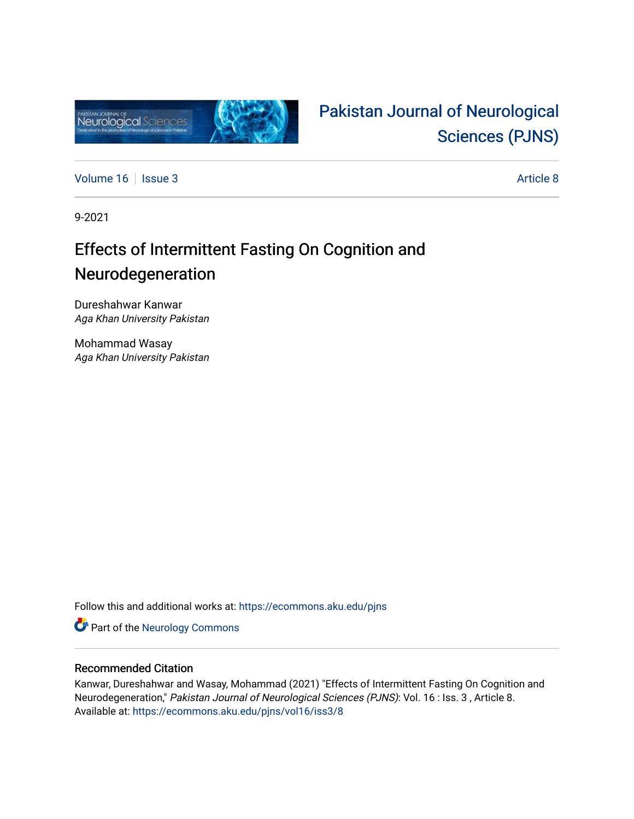

# [Pakistan Journal of Neurological](https://ecommons.aku.edu/pjns)  [Sciences \(PJNS\)](https://ecommons.aku.edu/pjns)

[Volume 16](https://ecommons.aku.edu/pjns/vol16) | [Issue 3](https://ecommons.aku.edu/pjns/vol16/iss3) Article 8

9-2021

## Effects of Intermittent Fasting On Cognition and Neurodegeneration

Dureshahwar Kanwar Aga Khan University Pakistan

Mohammad Wasay Aga Khan University Pakistan

Follow this and additional works at: [https://ecommons.aku.edu/pjns](https://ecommons.aku.edu/pjns?utm_source=ecommons.aku.edu%2Fpjns%2Fvol16%2Fiss3%2F8&utm_medium=PDF&utm_campaign=PDFCoverPages) 

Part of the [Neurology Commons](http://network.bepress.com/hgg/discipline/692?utm_source=ecommons.aku.edu%2Fpjns%2Fvol16%2Fiss3%2F8&utm_medium=PDF&utm_campaign=PDFCoverPages)

### Recommended Citation

Kanwar, Dureshahwar and Wasay, Mohammad (2021) "Effects of Intermittent Fasting On Cognition and Neurodegeneration," Pakistan Journal of Neurological Sciences (PJNS): Vol. 16 : Iss. 3 , Article 8. Available at: [https://ecommons.aku.edu/pjns/vol16/iss3/8](https://ecommons.aku.edu/pjns/vol16/iss3/8?utm_source=ecommons.aku.edu%2Fpjns%2Fvol16%2Fiss3%2F8&utm_medium=PDF&utm_campaign=PDFCoverPages)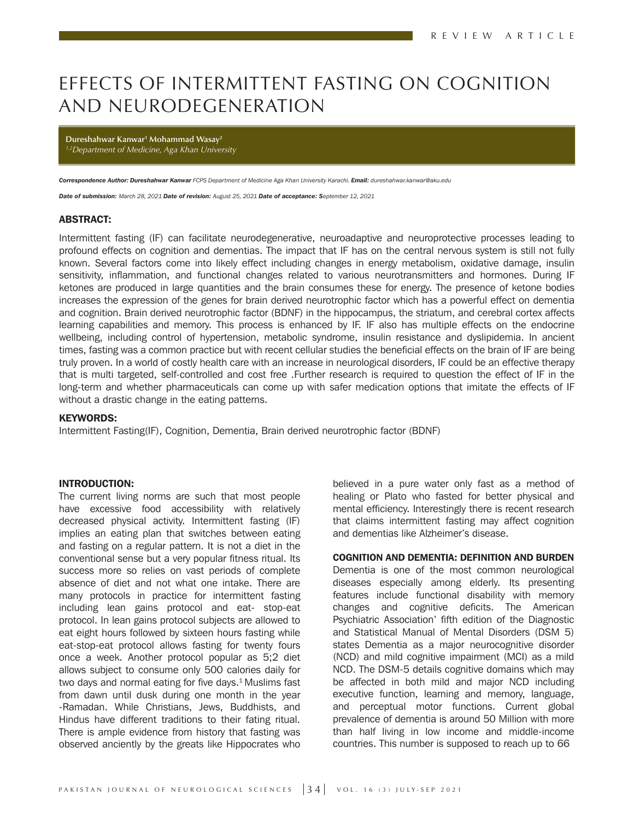### EFFECTS OF INTERMITTENT FASTING ON COGNITION AND NEURODEGENERATION

**Dureshahwar Kanwar1 Mohammad Wasay2** *1,2Department of Medicine, Aga Khan University*

*Correspondence Author: Dureshahwar Kanwar FCPS Department of Medicine Aga Khan University Karachi. Email: dureshahwar.kanwar@aku.edu*

*Date of submission: March 28, 2021 Date of revision: August 25, 2021 Date of acceptance: September 12, 2021*

#### ABSTRACT:

Intermittent fasting (IF) can facilitate neurodegenerative, neuroadaptive and neuroprotective processes leading to profound effects on cognition and dementias. The impact that IF has on the central nervous system is still not fully known. Several factors come into likely effect including changes in energy metabolism, oxidative damage, insulin sensitivity, inflammation, and functional changes related to various neurotransmitters and hormones. During IF ketones are produced in large quantities and the brain consumes these for energy. The presence of ketone bodies increases the expression of the genes for brain derived neurotrophic factor which has a powerful effect on dementia and cognition. Brain derived neurotrophic factor (BDNF) in the hippocampus, the striatum, and cerebral cortex affects learning capabilities and memory. This process is enhanced by IF. IF also has multiple effects on the endocrine wellbeing, including control of hypertension, metabolic syndrome, insulin resistance and dyslipidemia. In ancient times, fasting was a common practice but with recent cellular studies the beneficial effects on the brain of IF are being truly proven. In a world of costly health care with an increase in neurological disorders, IF could be an effective therapy that is multi targeted, self-controlled and cost free .Further research is required to question the effect of IF in the long-term and whether pharmaceuticals can come up with safer medication options that imitate the effects of IF without a drastic change in the eating patterns.

#### KEYWORDS:

Intermittent Fasting(IF), Cognition, Dementia, Brain derived neurotrophic factor (BDNF)

#### INTRODUCTION:

The current living norms are such that most people have excessive food accessibility with relatively decreased physical activity. Intermittent fasting (IF) implies an eating plan that switches between eating and fasting on a regular pattern. It is not a diet in the conventional sense but a very popular fitness ritual. Its success more so relies on vast periods of complete absence of diet and not what one intake. There are many protocols in practice for intermittent fasting including lean gains protocol and eat- stop-eat protocol. In lean gains protocol subjects are allowed to eat eight hours followed by sixteen hours fasting while eat-stop-eat protocol allows fasting for twenty fours once a week. Another protocol popular as 5;2 diet allows subject to consume only 500 calories daily for two days and normal eating for five days. $1$  Muslims fast from dawn until dusk during one month in the year -Ramadan. While Christians, Jews, Buddhists, and Hindus have different traditions to their fating ritual. There is ample evidence from history that fasting was observed anciently by the greats like Hippocrates who

believed in a pure water only fast as a method of healing or Plato who fasted for better physical and mental efficiency. Interestingly there is recent research that claims intermittent fasting may affect cognition and dementias like Alzheimer's disease.

#### COGNITION AND DEMENTIA: DEFINITION AND BURDEN

Dementia is one of the most common neurological diseases especially among elderly. Its presenting features include functional disability with memory changes and cognitive deficits. The American Psychiatric Association' fifth edition of the Diagnostic and Statistical Manual of Mental Disorders (DSM 5) states Dementia as a major neurocognitive disorder (NCD) and mild cognitive impairment (MCI) as a mild NCD. The DSM-5 details cognitive domains which may be affected in both mild and major NCD including executive function, learning and memory, language, and perceptual motor functions. Current global prevalence of dementia is around 50 Million with more than half living in low income and middle-income countries. This number is supposed to reach up to 66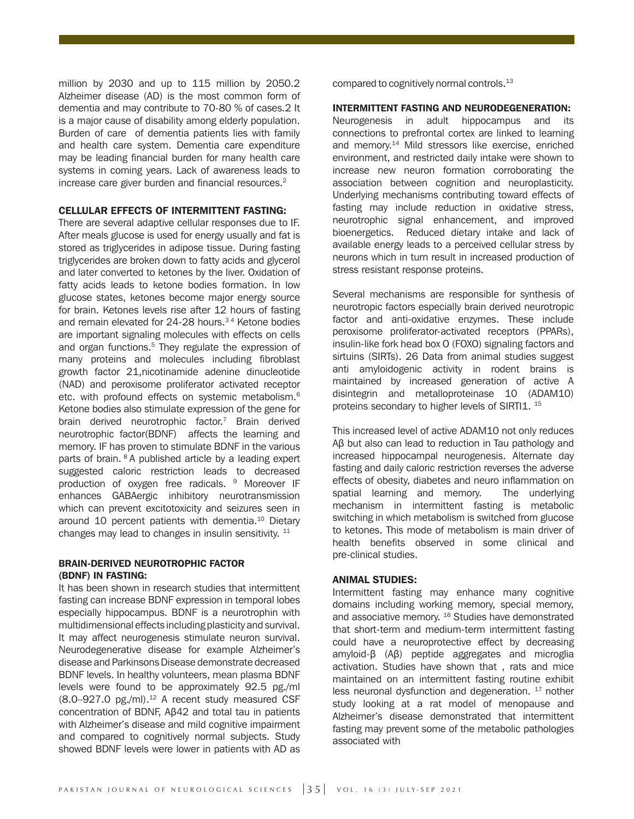million by 2030 and up to 115 million by 2050.2 Alzheimer disease (AD) is the most common form of dementia and may contribute to 70-80 % of cases.2 It is a major cause of disability among elderly population. Burden of care of dementia patients lies with family and health care system. Dementia care expenditure may be leading financial burden for many health care systems in coming years. Lack of awareness leads to increase care giver burden and financial resources.<sup>2</sup>

#### CELLULAR EFFECTS OF INTERMITTENT FASTING:

There are several adaptive cellular responses due to IF. After meals glucose is used for energy usually and fat is stored as triglycerides in adipose tissue. During fasting triglycerides are broken down to fatty acids and glycerol and later converted to ketones by the liver. Oxidation of fatty acids leads to ketone bodies formation. In low glucose states, ketones become major energy source for brain. Ketones levels rise after 12 hours of fasting and remain elevated for 24-28 hours.<sup>34</sup> Ketone bodies are important signaling molecules with effects on cells and organ functions.<sup>5</sup> They regulate the expression of many proteins and molecules including fibroblast growth factor 21,nicotinamide adenine dinucleotide (NAD) and peroxisome proliferator activated receptor etc. with profound effects on systemic metabolism.6 Ketone bodies also stimulate expression of the gene for brain derived neurotrophic factor.<sup>7</sup> Brain derived neurotrophic factor(BDNF) affects the learning and memory. IF has proven to stimulate BDNF in the various parts of brain. 8 A published article by a leading expert suggested caloric restriction leads to decreased production of oxygen free radicals. <sup>9</sup> Moreover IF enhances GABAergic inhibitory neurotransmission which can prevent excitotoxicity and seizures seen in around 10 percent patients with dementia.<sup>10</sup> Dietary changes may lead to changes in insulin sensitivity. <sup>11</sup>

#### BRAIN-DERIVED NEUROTROPHIC FACTOR (BDNF) IN FASTING:

It has been shown in research studies that intermittent fasting can increase BDNF expression in temporal lobes especially hippocampus. BDNF is a neurotrophin with multidimensional effects including plasticity and survival. It may affect neurogenesis stimulate neuron survival. Neurodegenerative disease for example Alzheimer's disease and Parkinsons Disease demonstrate decreased BDNF levels. In healthy volunteers, mean plasma BDNF levels were found to be approximately 92.5 pg./ml (8.0-927.0 pg./ml).<sup>12</sup> A recent study measured CSF concentration of BDNF, Aβ42 and total tau in patients with Alzheimer's disease and mild cognitive impairment and compared to cognitively normal subjects. Study showed BDNF levels were lower in patients with AD as

compared to cognitively normal controls.13

#### INTERMITTENT FASTING AND NEURODEGENERATION:

Neurogenesis in adult hippocampus and its connections to prefrontal cortex are linked to learning and memory.14 Mild stressors like exercise, enriched environment, and restricted daily intake were shown to increase new neuron formation corroborating the association between cognition and neuroplasticity. Underlying mechanisms contributing toward effects of fasting may include reduction in oxidative stress, neurotrophic signal enhancement, and improved bioenergetics. Reduced dietary intake and lack of available energy leads to a perceived cellular stress by neurons which in turn result in increased production of stress resistant response proteins.

Several mechanisms are responsible for synthesis of neurotropic factors especially brain derived neurotropic factor and anti-oxidative enzymes. These include peroxisome proliferator-activated receptors (PPARs), insulin-like fork head box O (FOXO) signaling factors and sirtuins (SIRTs). 26 Data from animal studies suggest anti amyloidogenic activity in rodent brains is maintained by increased generation of active A disintegrin and metalloproteinase 10 (ADAM10) proteins secondary to higher levels of SIRTI1.<sup>15</sup>

This increased level of active ADAM10 not only reduces Aβ but also can lead to reduction in Tau pathology and increased hippocampal neurogenesis. Alternate day fasting and daily caloric restriction reverses the adverse effects of obesity, diabetes and neuro inflammation on spatial learning and memory. The underlying mechanism in intermittent fasting is metabolic switching in which metabolism is switched from glucose to ketones. This mode of metabolism is main driver of health benefits observed in some clinical and pre-clinical studies.

#### ANIMAL STUDIES:

Intermittent fasting may enhance many cognitive domains including working memory, special memory, and associative memory. <sup>16</sup> Studies have demonstrated that short-term and medium-term intermittent fasting could have a neuroprotective effect by decreasing amyloid-β (Aβ) peptide aggregates and microglia activation. Studies have shown that , rats and mice maintained on an intermittent fasting routine exhibit less neuronal dysfunction and degeneration.  $17$  nother study looking at a rat model of menopause and Alzheimer's disease demonstrated that intermittent fasting may prevent some of the metabolic pathologies associated with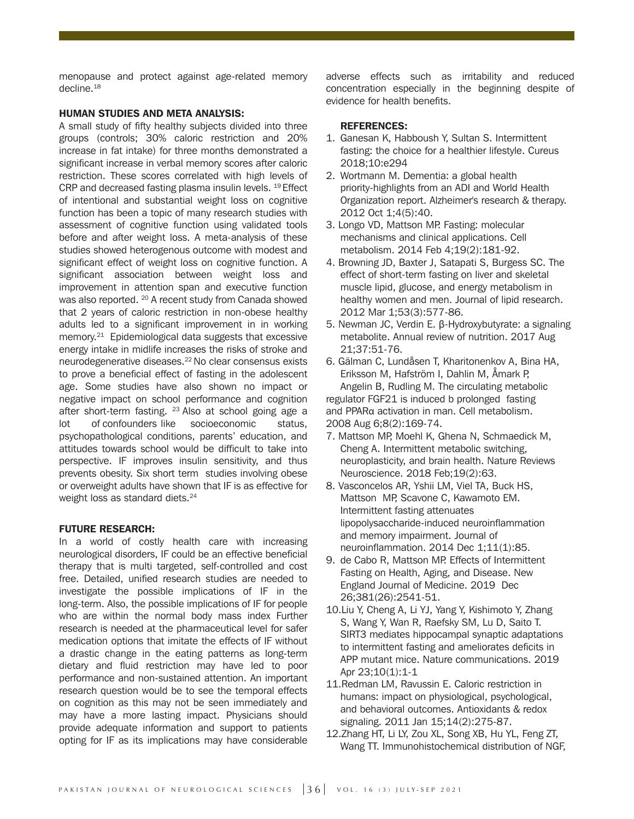menopause and protect against age-related memory decline.18

#### HUMAN STUDIES AND META ANALYSIS:

A small study of fifty healthy subjects divided into three groups (controls; 30% caloric restriction and 20% increase in fat intake) for three months demonstrated a significant increase in verbal memory scores after caloric restriction. These scores correlated with high levels of CRP and decreased fasting plasma insulin levels. 19 Effect of intentional and substantial weight loss on cognitive function has been a topic of many research studies with assessment of cognitive function using validated tools before and after weight loss. A meta-analysis of these studies showed heterogenous outcome with modest and significant effect of weight loss on cognitive function. A significant association between weight loss and improvement in attention span and executive function was also reported. <sup>20</sup> A recent study from Canada showed that 2 years of caloric restriction in non-obese healthy adults led to a significant improvement in in working memory.<sup>21</sup> Epidemiological data suggests that excessive energy intake in midlife increases the risks of stroke and neurodegenerative diseases.<sup>22</sup> No clear consensus exists to prove a beneficial effect of fasting in the adolescent age. Some studies have also shown no impact or negative impact on school performance and cognition after short-term fasting.  $23$  Also at school going age a lot of confounders like socioeconomic status, psychopathological conditions, parents' education, and attitudes towards school would be difficult to take into perspective. IF improves insulin sensitivity, and thus prevents obesity. Six short term studies involving obese or overweight adults have shown that IF is as effective for weight loss as standard diets.<sup>24</sup>

#### FUTURE RESEARCH:

In a world of costly health care with increasing neurological disorders, IF could be an effective beneficial therapy that is multi targeted, self-controlled and cost free. Detailed, unified research studies are needed to investigate the possible implications of IF in the long-term. Also, the possible implications of IF for people who are within the normal body mass index Further research is needed at the pharmaceutical level for safer medication options that imitate the effects of IF without a drastic change in the eating patterns as long-term dietary and fluid restriction may have led to poor performance and non-sustained attention. An important research question would be to see the temporal effects on cognition as this may not be seen immediately and may have a more lasting impact. Physicians should provide adequate information and support to patients opting for IF as its implications may have considerable adverse effects such as irritability and reduced concentration especially in the beginning despite of evidence for health benefits.

#### REFERENCES:

- 1. Ganesan K, Habboush Y, Sultan S. Intermittent fasting: the choice for a healthier lifestyle. Cureus 2018;10:e294
- 2. Wortmann M. Dementia: a global health priority-highlights from an ADI and World Health Organization report. Alzheimer's research & therapy. 2012 Oct 1;4(5):40.
- 3. Longo VD, Mattson MP. Fasting: molecular mechanisms and clinical applications. Cell metabolism. 2014 Feb 4;19(2):181-92.
- 4. Browning JD, Baxter J, Satapati S, Burgess SC. The effect of short-term fasting on liver and skeletal muscle lipid, glucose, and energy metabolism in healthy women and men. Journal of lipid research. 2012 Mar 1;53(3):577-86.
- 5. Newman JC, Verdin E. β-Hydroxybutyrate: a signaling metabolite. Annual review of nutrition. 2017 Aug 21;37:51-76.
- 6. Gälman C, Lundåsen T, Kharitonenkov A, Bina HA, Eriksson M, Hafström I, Dahlin M, Åmark P, Angelin B, Rudling M. The circulating metabolic regulator FGF21 is induced b prolonged fasting and PPARα activation in man. Cell metabolism.

2008 Aug 6;8(2):169-74. 7. Mattson MP, Moehl K, Ghena N, Schmaedick M,

- Cheng A. Intermittent metabolic switching, neuroplasticity, and brain health. Nature Reviews Neuroscience. 2018 Feb;19(2):63.
- 8. Vasconcelos AR, Yshii LM, Viel TA, Buck HS, Mattson MP, Scavone C, Kawamoto EM. Intermittent fasting attenuates lipopolysaccharide-induced neuroinflammation and memory impairment. Journal of neuroinflammation. 2014 Dec 1;11(1):85.
- 9. de Cabo R, Mattson MP. Effects of Intermittent Fasting on Health, Aging, and Disease. New England Journal of Medicine. 2019 Dec 26;381(26):2541-51.
- 10.Liu Y, Cheng A, Li YJ, Yang Y, Kishimoto Y, Zhang S, Wang Y, Wan R, Raefsky SM, Lu D, Saito T. SIRT3 mediates hippocampal synaptic adaptations to intermittent fasting and ameliorates deficits in APP mutant mice. Nature communications. 2019 Apr 23;10(1):1-1
- 11.Redman LM, Ravussin E. Caloric restriction in humans: impact on physiological, psychological, and behavioral outcomes. Antioxidants & redox signaling. 2011 Jan 15;14(2):275-87.
- 12.Zhang HT, Li LY, Zou XL, Song XB, Hu YL, Feng ZT, Wang TT. Immunohistochemical distribution of NGF,